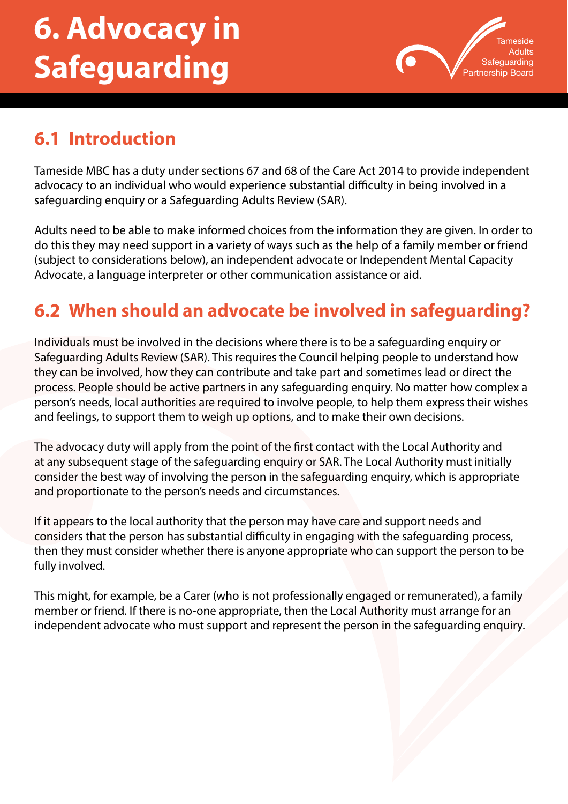# **6. Advocacy in Safeguarding**



# **6.1 Introduction**

Tameside MBC has a duty under sections 67 and 68 of the Care Act 2014 to provide independent advocacy to an individual who would experience substantial difficulty in being involved in a safeguarding enquiry or a Safeguarding Adults Review (SAR).

Adults need to be able to make informed choices from the information they are given. In order to do this they may need support in a variety of ways such as the help of a family member or friend (subject to considerations below), an independent advocate or Independent Mental Capacity Advocate, a language interpreter or other communication assistance or aid.

# **6.2 When should an advocate be involved in safeguarding?**

Individuals must be involved in the decisions where there is to be a safeguarding enquiry or Safeguarding Adults Review (SAR). This requires the Council helping people to understand how they can be involved, how they can contribute and take part and sometimes lead or direct the process. People should be active partners in any safeguarding enquiry. No matter how complex a person's needs, local authorities are required to involve people, to help them express their wishes and feelings, to support them to weigh up options, and to make their own decisions.

The advocacy duty will apply from the point of the first contact with the Local Authority and at any subsequent stage of the safeguarding enquiry or SAR. The Local Authority must initially consider the best way of involving the person in the safeguarding enquiry, which is appropriate and proportionate to the person's needs and circumstances.

If it appears to the local authority that the person may have care and support needs and considers that the person has substantial difficulty in engaging with the safeguarding process, then they must consider whether there is anyone appropriate who can support the person to be fully involved.

This might, for example, be a Carer (who is not professionally engaged or remunerated), a family member or friend. If there is no-one appropriate, then the Local Authority must arrange for an independent advocate who must support and represent the person in the safeguarding enquiry.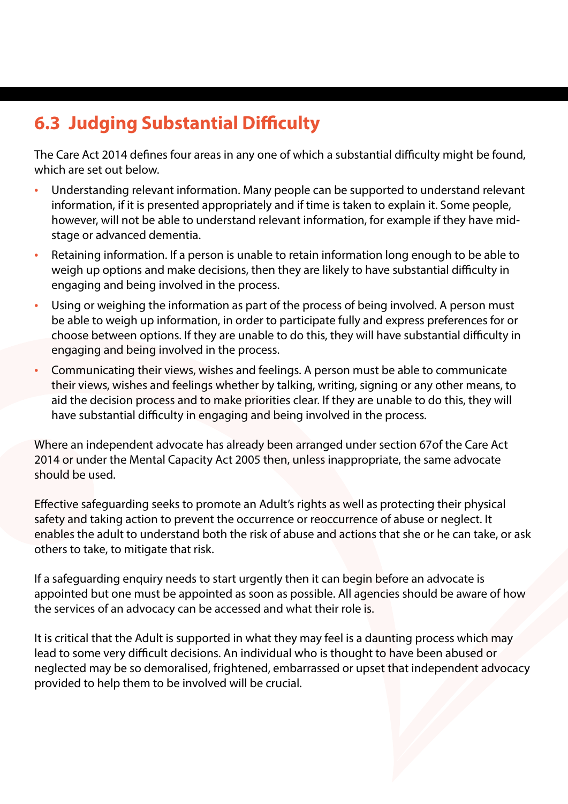# **6.3 Judging Substantial Difficulty**

The Care Act 2014 defines four areas in any one of which a substantial difficulty might be found, which are set out below.

- Understanding relevant information. Many people can be supported to understand relevant information, if it is presented appropriately and if time is taken to explain it. Some people, however, will not be able to understand relevant information, for example if they have midstage or advanced dementia.
- Retaining information. If a person is unable to retain information long enough to be able to weigh up options and make decisions, then they are likely to have substantial difficulty in engaging and being involved in the process.
- Using or weighing the information as part of the process of being involved. A person must be able to weigh up information, in order to participate fully and express preferences for or choose between options. If they are unable to do this, they will have substantial difficulty in engaging and being involved in the process.
- Communicating their views, wishes and feelings. A person must be able to communicate their views, wishes and feelings whether by talking, writing, signing or any other means, to aid the decision process and to make priorities clear. If they are unable to do this, they will have substantial difficulty in engaging and being involved in the process.

Where an independent advocate has already been arranged under section 67of the Care Act 2014 or under the Mental Capacity Act 2005 then, unless inappropriate, the same advocate should be used.

Effective safeguarding seeks to promote an Adult's rights as well as protecting their physical safety and taking action to prevent the occurrence or reoccurrence of abuse or neglect. It enables the adult to understand both the risk of abuse and actions that she or he can take, or ask others to take, to mitigate that risk.

If a safeguarding enquiry needs to start urgently then it can begin before an advocate is appointed but one must be appointed as soon as possible. All agencies should be aware of how the services of an advocacy can be accessed and what their role is.

It is critical that the Adult is supported in what they may feel is a daunting process which may lead to some very difficult decisions. An individual who is thought to have been abused or neglected may be so demoralised, frightened, embarrassed or upset that independent advocacy provided to help them to be involved will be crucial.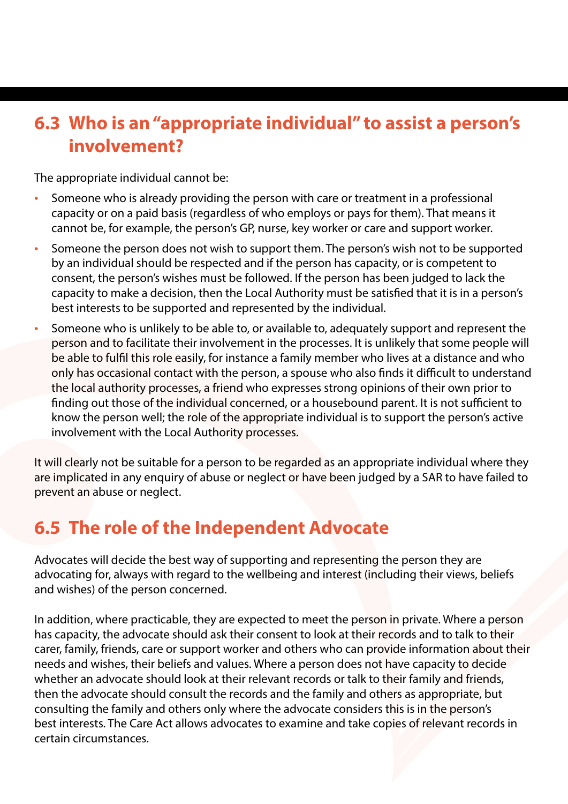## **6.3 Who is an "appropriate individual" to assist a person's involvement?**

The appropriate individual cannot be:

- Someone who is already providing the person with care or treatment in a professional capacity or on a paid basis (regardless of who employs or pays for them). That means it cannot be, for example, the person's GP, nurse, key worker or care and support worker.
- Someone the person does not wish to support them. The person's wish not to be supported by an individual should be respected and if the person has capacity, or is competent to consent, the person's wishes must be followed. If the person has been judged to lack the capacity to make a decision, then the Local Authority must be satisfied that it is in a person's best interests to be supported and represented by the individual.
- Someone who is unlikely to be able to, or available to, adequately support and represent the person and to facilitate their involvement in the processes. It is unlikely that some people will be able to fulfil this role easily, for instance a family member who lives at a distance and who only has occasional contact with the person, a spouse who also finds it difficult to understand the local authority processes, a friend who expresses strong opinions of their own prior to finding out those of the individual concerned, or a housebound parent. It is not sufficient to know the person well; the role of the appropriate individual is to support the person's active involvement with the Local Authority processes.

It will clearly not be suitable for a person to be regarded as an appropriate individual where they are implicated in any enquiry of abuse or neglect or have been judged by a SAR to have failed to prevent an abuse or neglect.

## **6.5 The role of the Independent Advocate**

Advocates will decide the best way of supporting and representing the person they are advocating for, always with regard to the wellbeing and interest (including their views, beliefs and wishes) of the person concerned.

In addition, where practicable, they are expected to meet the person in private. Where a person has capacity, the advocate should ask their consent to look at their records and to talk to their carer, family, friends, care or support worker and others who can provide information about their needs and wishes, their beliefs and values. Where a person does not have capacity to decide whether an advocate should look at their relevant records or talk to their family and friends, then the advocate should consult the records and the family and others as appropriate, but consulting the family and others only where the advocate considers this is in the person's best interests. The Care Act allows advocates to examine and take copies of relevant records in certain circumstances.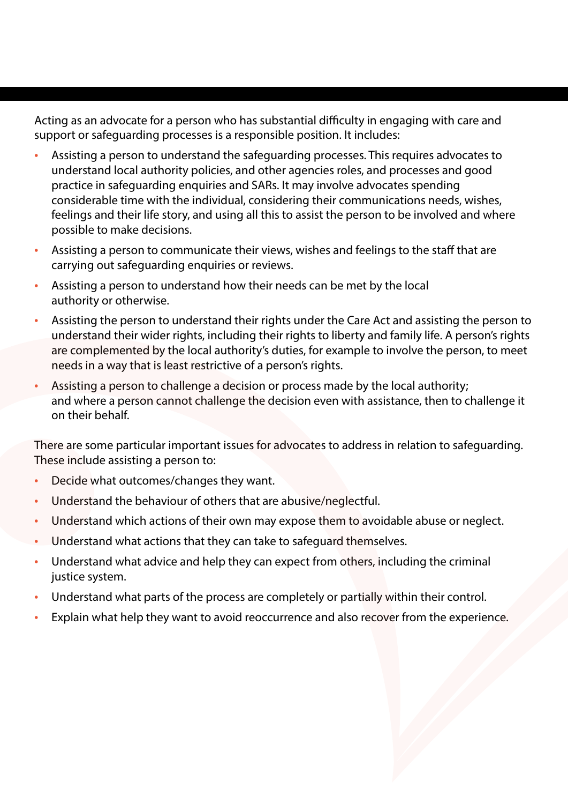Acting as an advocate for a person who has substantial difficulty in engaging with care and support or safeguarding processes is a responsible position. It includes:

- Assisting a person to understand the safeguarding processes. This requires advocates to understand local authority policies, and other agencies roles, and processes and good practice in safeguarding enquiries and SARs. It may involve advocates spending considerable time with the individual, considering their communications needs, wishes, feelings and their life story, and using all this to assist the person to be involved and where possible to make decisions.
- Assisting a person to communicate their views, wishes and feelings to the staff that are carrying out safeguarding enquiries or reviews.
- Assisting a person to understand how their needs can be met by the local authority or otherwise.
- Assisting the person to understand their rights under the Care Act and assisting the person to understand their wider rights, including their rights to liberty and family life. A person's rights are complemented by the local authority's duties, for example to involve the person, to meet needs in a way that is least restrictive of a person's rights.
- Assisting a person to challenge a decision or process made by the local authority; and where a person cannot challenge the decision even with assistance, then to challenge it on their behalf.

There are some particular important issues for advocates to address in relation to safeguarding. These include assisting a person to:

- Decide what outcomes/changes they want.
- Understand the behaviour of others that are abusive/neglectful.
- Understand which actions of their own may expose them to avoidable abuse or neglect.
- Understand what actions that they can take to safeguard themselves.
- Understand what advice and help they can expect from others, including the criminal justice system.
- Understand what parts of the process are completely or partially within their control.
- Explain what help they want to avoid reoccurrence and also recover from the experience.